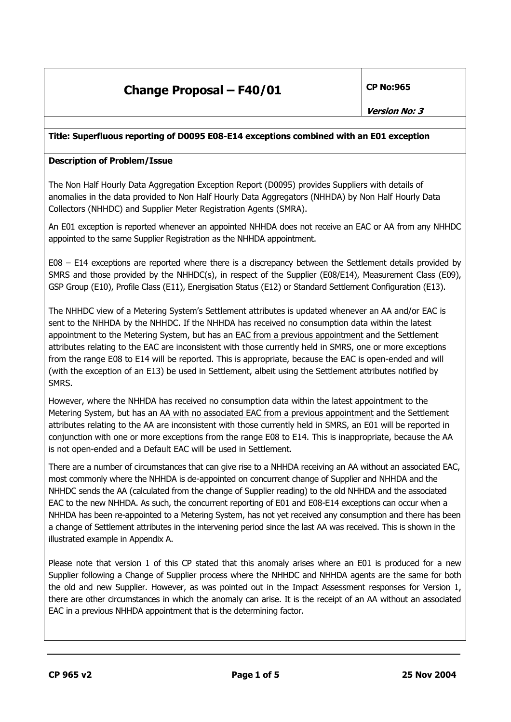## **Change Proposal – F40/01** CP No:965

### **Title: Superfluous reporting of D0095 E08-E14 exceptions combined with an E01 exception**

### **Description of Problem/Issue**

The Non Half Hourly Data Aggregation Exception Report (D0095) provides Suppliers with details of anomalies in the data provided to Non Half Hourly Data Aggregators (NHHDA) by Non Half Hourly Data Collectors (NHHDC) and Supplier Meter Registration Agents (SMRA).

An E01 exception is reported whenever an appointed NHHDA does not receive an EAC or AA from any NHHDC appointed to the same Supplier Registration as the NHHDA appointment.

E08 – E14 exceptions are reported where there is a discrepancy between the Settlement details provided by SMRS and those provided by the NHHDC(s), in respect of the Supplier (E08/E14), Measurement Class (E09), GSP Group (E10), Profile Class (E11), Energisation Status (E12) or Standard Settlement Configuration (E13).

The NHHDC view of a Metering System's Settlement attributes is updated whenever an AA and/or EAC is sent to the NHHDA by the NHHDC. If the NHHDA has received no consumption data within the latest appointment to the Metering System, but has an EAC from a previous appointment and the Settlement attributes relating to the EAC are inconsistent with those currently held in SMRS, one or more exceptions from the range E08 to E14 will be reported. This is appropriate, because the EAC is open-ended and will (with the exception of an E13) be used in Settlement, albeit using the Settlement attributes notified by SMRS.

However, where the NHHDA has received no consumption data within the latest appointment to the Metering System, but has an AA with no associated EAC from a previous appointment and the Settlement attributes relating to the AA are inconsistent with those currently held in SMRS, an E01 will be reported in conjunction with one or more exceptions from the range E08 to E14. This is inappropriate, because the AA is not open-ended and a Default EAC will be used in Settlement.

There are a number of circumstances that can give rise to a NHHDA receiving an AA without an associated EAC, most commonly where the NHHDA is de-appointed on concurrent change of Supplier and NHHDA and the NHHDC sends the AA (calculated from the change of Supplier reading) to the old NHHDA and the associated EAC to the new NHHDA. As such, the concurrent reporting of E01 and E08-E14 exceptions can occur when a NHHDA has been re-appointed to a Metering System, has not yet received any consumption and there has been a change of Settlement attributes in the intervening period since the last AA was received. This is shown in the illustrated example in Appendix A.

Please note that version 1 of this CP stated that this anomaly arises where an E01 is produced for a new Supplier following a Change of Supplier process where the NHHDC and NHHDA agents are the same for both the old and new Supplier. However, as was pointed out in the Impact Assessment responses for Version 1, there are other circumstances in which the anomaly can arise. It is the receipt of an AA without an associated EAC in a previous NHHDA appointment that is the determining factor.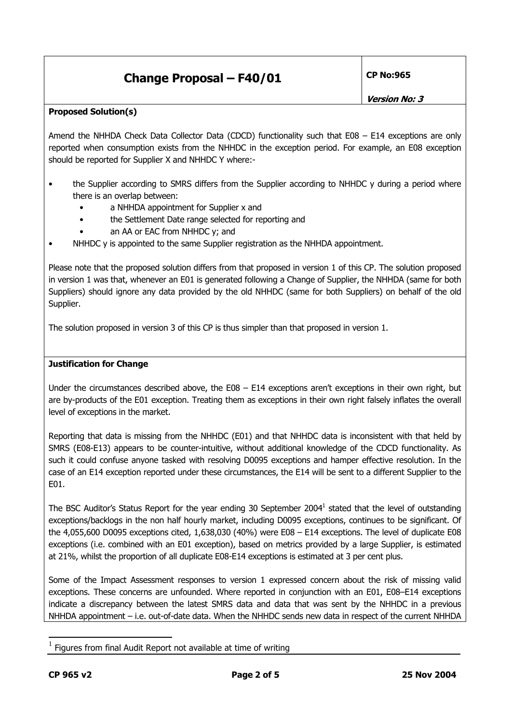# **Change Proposal – F40/01** CP No:965

**Version No: 3** 

### **Proposed Solution(s)**

Amend the NHHDA Check Data Collector Data (CDCD) functionality such that E08 - E14 exceptions are only reported when consumption exists from the NHHDC in the exception period. For example, an E08 exception should be reported for Supplier X and NHHDC Y where:-

- the Supplier according to SMRS differs from the Supplier according to NHHDC y during a period where there is an overlap between:
	- a NHHDA appointment for Supplier x and
	- the Settlement Date range selected for reporting and
	- an AA or EAC from NHHDC y; and
- NHHDC y is appointed to the same Supplier registration as the NHHDA appointment.

Please note that the proposed solution differs from that proposed in version 1 of this CP. The solution proposed in version 1 was that, whenever an E01 is generated following a Change of Supplier, the NHHDA (same for both Suppliers) should ignore any data provided by the old NHHDC (same for both Suppliers) on behalf of the old Supplier.

The solution proposed in version 3 of this CP is thus simpler than that proposed in version 1.

### **Justification for Change**

Under the circumstances described above, the E08 – E14 exceptions aren't exceptions in their own right, but are by-products of the E01 exception. Treating them as exceptions in their own right falsely inflates the overall level of exceptions in the market.

Reporting that data is missing from the NHHDC (E01) and that NHHDC data is inconsistent with that held by SMRS (E08-E13) appears to be counter-intuitive, without additional knowledge of the CDCD functionality. As such it could confuse anyone tasked with resolving D0095 exceptions and hamper effective resolution. In the case of an E14 exception reported under these circumstances, the E14 will be sent to a different Supplier to the E01.

The BSC Auditor's Status Report for the year ending 30 September 2004<sup>1</sup> stated that the level of outstanding exceptions/backlogs in the non half hourly market, including D0095 exceptions, continues to be significant. Of the 4,055,600 D0095 exceptions cited, 1,638,030 (40%) were E08 – E14 exceptions. The level of duplicate E08 exceptions (i.e. combined with an E01 exception), based on metrics provided by a large Supplier, is estimated at 21%, whilst the proportion of all duplicate E08-E14 exceptions is estimated at 3 per cent plus.

Some of the Impact Assessment responses to version 1 expressed concern about the risk of missing valid exceptions. These concerns are unfounded. Where reported in conjunction with an E01, E08–E14 exceptions indicate a discrepancy between the latest SMRS data and data that was sent by the NHHDC in a previous NHHDA appointment – i.e. out-of-date data. When the NHHDC sends new data in respect of the current NHHDA

Figures from final Audit Report not available at time of writing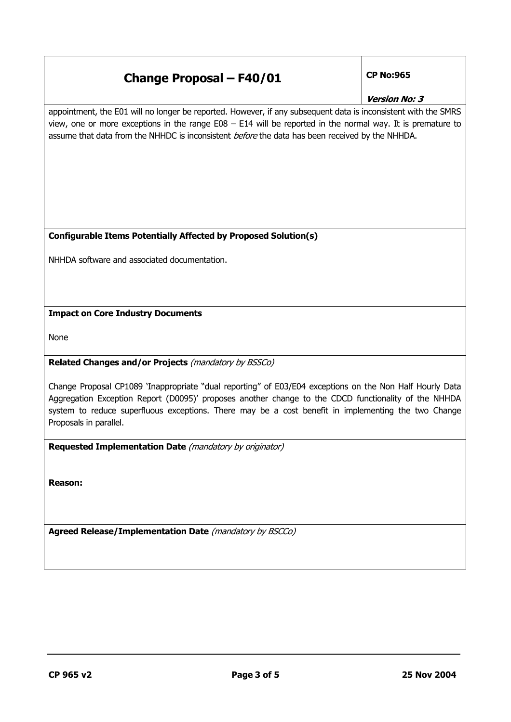| <b>Change Proposal - F40/01</b>                                                                                                                                                                                                                                                                                                                   | <b>CP No:965</b>     |  |
|---------------------------------------------------------------------------------------------------------------------------------------------------------------------------------------------------------------------------------------------------------------------------------------------------------------------------------------------------|----------------------|--|
|                                                                                                                                                                                                                                                                                                                                                   | <b>Version No: 3</b> |  |
| appointment, the E01 will no longer be reported. However, if any subsequent data is inconsistent with the SMRS<br>view, one or more exceptions in the range $E08 - E14$ will be reported in the normal way. It is premature to<br>assume that data from the NHHDC is inconsistent before the data has been received by the NHHDA.                 |                      |  |
| <b>Configurable Items Potentially Affected by Proposed Solution(s)</b>                                                                                                                                                                                                                                                                            |                      |  |
| NHHDA software and associated documentation.                                                                                                                                                                                                                                                                                                      |                      |  |
| <b>Impact on Core Industry Documents</b>                                                                                                                                                                                                                                                                                                          |                      |  |
| None                                                                                                                                                                                                                                                                                                                                              |                      |  |
| Related Changes and/or Projects (mandatory by BSSCo)                                                                                                                                                                                                                                                                                              |                      |  |
| Change Proposal CP1089 'Inappropriate "dual reporting" of E03/E04 exceptions on the Non Half Hourly Data<br>Aggregation Exception Report (D0095)' proposes another change to the CDCD functionality of the NHHDA<br>system to reduce superfluous exceptions. There may be a cost benefit in implementing the two Change<br>Proposals in parallel. |                      |  |
| Requested Implementation Date (mandatory by originator)                                                                                                                                                                                                                                                                                           |                      |  |
| <b>Reason:</b>                                                                                                                                                                                                                                                                                                                                    |                      |  |
| Agreed Release/Implementation Date (mandatory by BSCCo)                                                                                                                                                                                                                                                                                           |                      |  |
|                                                                                                                                                                                                                                                                                                                                                   |                      |  |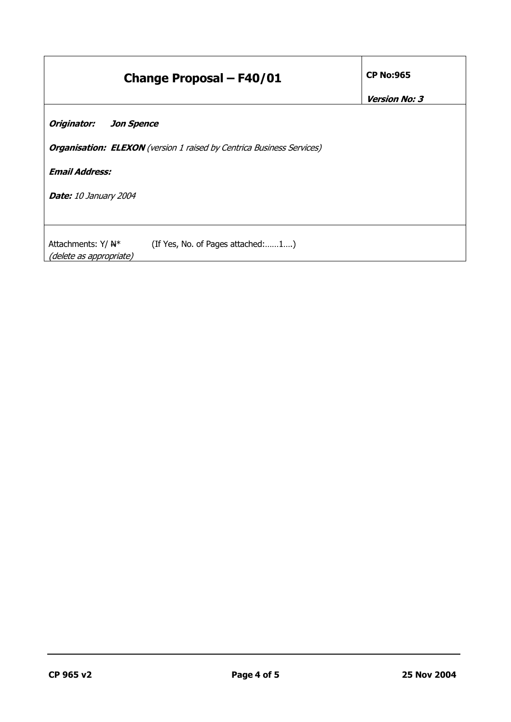| <b>Change Proposal - F40/01</b>                                                                  | <b>CP No:965</b>     |
|--------------------------------------------------------------------------------------------------|----------------------|
|                                                                                                  | <b>Version No: 3</b> |
| Originator:<br><b>Jon Spence</b>                                                                 |                      |
| <b>Organisation: ELEXON</b> (version 1 raised by Centrica Business Services)                     |                      |
| <b>Email Address:</b>                                                                            |                      |
| <b>Date:</b> 10 January 2004                                                                     |                      |
|                                                                                                  |                      |
| (If Yes, No. of Pages attached:1)<br>Attachments: $Y/$ $\mathbb{H}^*$<br>(delete as appropriate) |                      |